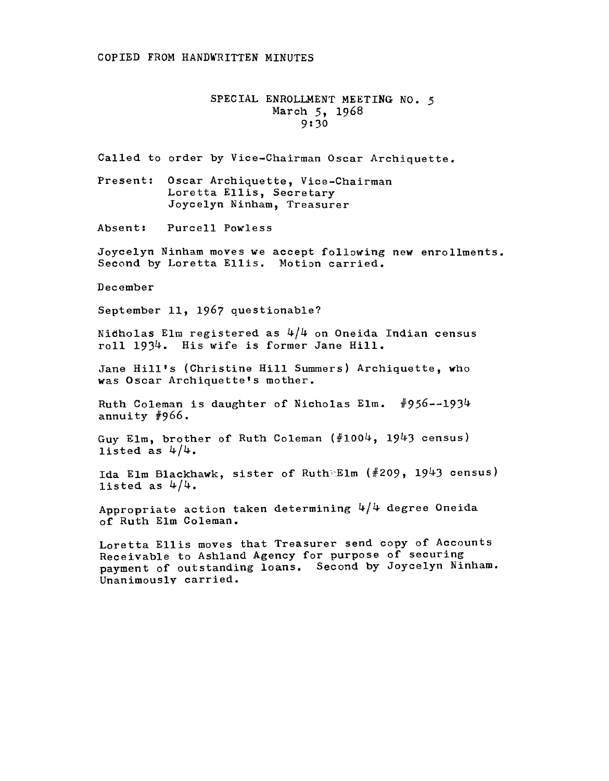## COPIED FROM HANDWRITTEN MINUTES

## SPECIAL ENROLLMENT MEETING NO. *5*  March 5, 1968 9:30

Called to order by Vice-Chairman Oscar Archiquette.

Present: Oscar Archiquette, Vice-Chairman Loretta Ellis, Secretary Joycelyn Ninham, Treasurer

Absent: Purcell Powless

Joycelyn Ninham moves we accept following new enrollments. Second by Loretta Ellis. Motion carried.

December

September 11, 1967 questionable?

Nicholas Elm registered as  $4/4$  on Oneida Indian census roll 1934. His wife is former Jane Hill.

Jane Hill's (Christine Hill Summers) Archiquette, who was Oscar Archiquette's mother.

Ruth Coleman is daughter of Nicholas Elm.  $#956-1934$ annuity #966.

Guy Elm, brother of Ruth Coleman (#1004, 1943 census) listed as  $4/4$ .

Ida Elm Blackhawk, sister of Ruth Elm (#209, 1943 census) listed as  $4/4$ .

Appropriate action taken determining  $4/4$  degree Oneida of Ruth Elm Coleman.

Loretta Ellis moves that Treasurer send copy of Accounts Receivable to Ashland Agency for purpose of securing payment of outstanding loans. Second by Joycelyn Ninham. Unanimously carried.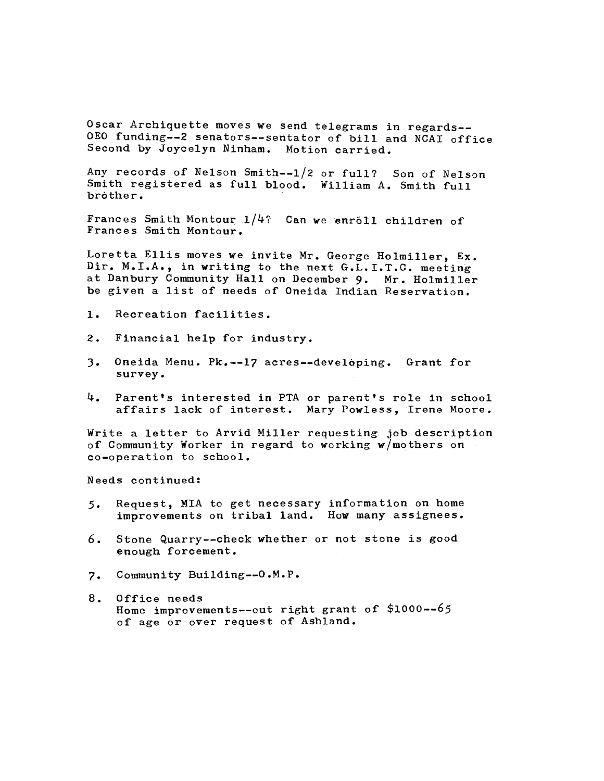Oscar Archiquette moves we send telegrams in regards-- OEO funding--2 senators--sentator of bill and NCAI office Second by Joycelyn Ninham. Motion carried.

Any records of Nelson Smith--1/2 or full? Son of Nelson Smith registered as full blood. William A. Smith full brother.

Frances Smith Montour  $1/4$ ? Can we enrôll children of Frances Smith Montour.

Loretta Ellis moves we invite Mr. George Holmiller, Ex. Dir. M.I.A., in writing to the next  $G.L.I.T.C.$  meeting at Danbury Community Hall on December 9. Mr. Holmiller be given a list of needs of Oneida Indian Reservation.

- 1. Recreation facilities.
- 2. Financial help for industry.
- ). Oneida Menu. Pk~--17 acres--devel6ping. Grant for survey.
- 4. Parent's interested in PTA or parent's role in school affairs lack of interest. Mary Powless, Irene Moore.

Write a letter to Arvid Miller requesting job description of Community Worker in regard to working w/mothers on co-operation to school.

Needs continued:

- $5.$ Request, MIA to get necessary information on home improvements on tribal land. How many assignees.
- 6. Stone Quarry--check whether or not stone is good enough forcement.
- Community Building--O.M.P.  $7.$
- 8. Office needs Home improvements--out right grant of \$1000--65 of age or over request of Ashland.